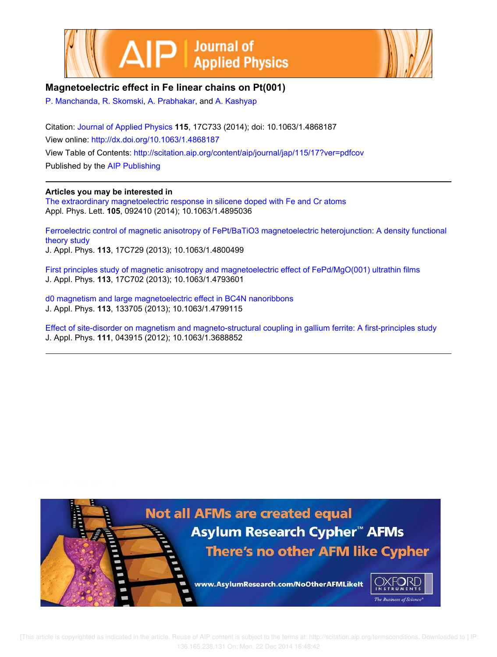



## **Magnetoelectric effect in Fe linear chains on Pt(001)**

P. Manchanda, R. Skomski, A. Prabhakar, and A. Kashyap

Citation: Journal of Applied Physics **115**, 17C733 (2014); doi: 10.1063/1.4868187 View online: http://dx.doi.org/10.1063/1.4868187 View Table of Contents: http://scitation.aip.org/content/aip/journal/jap/115/17?ver=pdfcov Published by the AIP Publishing

## **Articles you may be interested in**

The extraordinary magnetoelectric response in silicene doped with Fe and Cr atoms Appl. Phys. Lett. **105**, 092410 (2014); 10.1063/1.4895036

Ferroelectric control of magnetic anisotropy of FePt/BaTiO3 magnetoelectric heterojunction: A density functional theory study J. Appl. Phys. **113**, 17C729 (2013); 10.1063/1.4800499

First principles study of magnetic anisotropy and magnetoelectric effect of FePd/MgO(001) ultrathin films J. Appl. Phys. **113**, 17C702 (2013); 10.1063/1.4793601

d0 magnetism and large magnetoelectric effect in BC4N nanoribbons J. Appl. Phys. **113**, 133705 (2013); 10.1063/1.4799115

Effect of site-disorder on magnetism and magneto-structural coupling in gallium ferrite: A first-principles study J. Appl. Phys. **111**, 043915 (2012); 10.1063/1.3688852



 [This article is copyrighted as indicated in the article. Reuse of AIP content is subject to the terms at: http://scitation.aip.org/termsconditions. Downloaded to ] IP: 136.165.238.131 On: Mon, 22 Dec 2014 16:48:42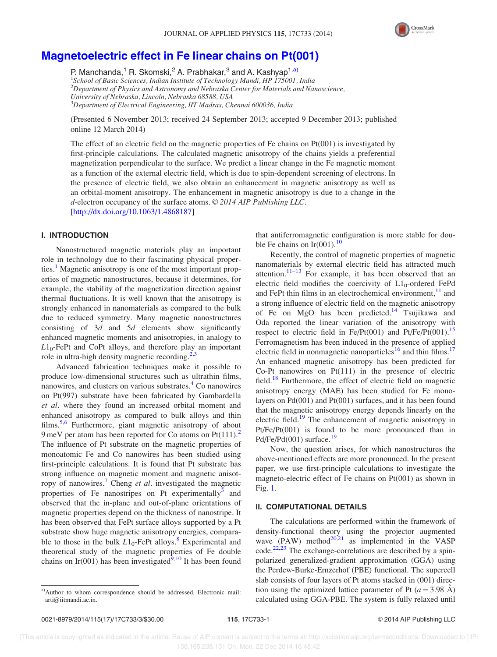

# Magnetoelectric effect in Fe linear chains on Pt(001)

P. Manchanda,<sup>1</sup> R. Skomski,<sup>2</sup> A. Prabhakar,<sup>3</sup> and A. Kashyap<sup>1,a)</sup>

<sup>1</sup>School of Basic Sciences, Indian Institute of Technology Mandi, HP 175001, India  $^{2}$ Department of Physics and Astronomy and Nebraska Center for Materials and Nanoscience, University of Nebraska, Lincoln, Nebraska 68588, USA

<sup>3</sup>Department of Electrical Engineering, IIT Madras, Chennai 600036, India

(Presented 6 November 2013; received 24 September 2013; accepted 9 December 2013; published online 12 March 2014)

The effect of an electric field on the magnetic properties of Fe chains on Pt(001) is investigated by first-principle calculations. The calculated magnetic anisotropy of the chains yields a preferential magnetization perpendicular to the surface. We predict a linear change in the Fe magnetic moment as a function of the external electric field, which is due to spin-dependent screening of electrons. In the presence of electric field, we also obtain an enhancement in magnetic anisotropy as well as an orbital-moment anisotropy. The enhancement in magnetic anisotropy is due to a change in the d-electron occupancy of the surface atoms.  $© 2014$  AIP Publishing LLC. [http://dx.doi.org/10.1063/1.4868187]

### I. INTRODUCTION

Nanostructured magnetic materials play an important role in technology due to their fascinating physical properties.<sup>1</sup> Magnetic anisotropy is one of the most important properties of magnetic nanostructures, because it determines, for example, the stability of the magnetization direction against thermal fluctuations. It is well known that the anisotropy is strongly enhanced in nanomaterials as compared to the bulk due to reduced symmetry. Many magnetic nanostructures consisting of  $3d$  and  $5d$  elements show significantly enhanced magnetic moments and anisotropies, in analogy to  $L1_0$ -FePt and CoPt alloys, and therefore play an important role in ultra-high density magnetic recording. $2,3$ 

Advanced fabrication techniques make it possible to produce low-dimensional structures such as ultrathin films, nanowires, and clusters on various substrates.<sup>4</sup> Co nanowires on Pt(997) substrate have been fabricated by Gambardella et al. where they found an increased orbital moment and enhanced anisotropy as compared to bulk alloys and thin films.<sup>5,6</sup> Furthermore, giant magnetic anisotropy of about 9 meV per atom has been reported for Co atoms on  $Pt(111)<sup>2</sup>$ The influence of Pt substrate on the magnetic properties of monoatomic Fe and Co nanowires has been studied using first-principle calculations. It is found that Pt substrate has strong influence on magnetic moment and magnetic anisotropy of nanowires.<sup>7</sup> Cheng et al. investigated the magnetic properties of Fe nanostripes on Pt experimentally $\overline{3}$  and observed that the in-plane and out-of-plane orientations of magnetic properties depend on the thickness of nanostripe. It has been observed that FePt surface alloys supported by a Pt substrate show huge magnetic anisotropy energies, comparable to those in the bulk  $L1_0$ -FePt alloys.<sup>8</sup> Experimental and theoretical study of the magnetic properties of Fe double chains on Ir(001) has been investigated $\frac{9,10}{9}$  It has been found that antiferromagnetic configuration is more stable for double Fe chains on  $Ir(001).^{10}$ 

Recently, the control of magnetic properties of magnetic nanomaterials by external electric field has attracted much attention. $11-13$  For example, it has been observed that an electric field modifies the coercivity of  $L1_0$ -ordered FePd and FePt thin films in an electrochemical environment,  $\frac{11}{11}$  and a strong influence of electric field on the magnetic anisotropy of Fe on MgO has been predicted.<sup>14</sup> Tsujikawa and Oda reported the linear variation of the anisotropy with respect to electric field in Fe/Pt(001) and Pt/Fe/Pt(001).<sup>15</sup> Ferromagnetism has been induced in the presence of applied electric field in nonmagnetic nanoparticles<sup>16</sup> and thin films.<sup>17</sup> An enhanced magnetic anisotropy has been predicted for Co-Pt nanowires on Pt(111) in the presence of electric field.<sup>18</sup> Furthermore, the effect of electric field on magnetic anisotropy energy (MAE) has been studied for Fe monolayers on Pd(001) and Pt(001) surfaces, and it has been found that the magnetic anisotropy energy depends linearly on the electric field.<sup>19</sup> The enhancement of magnetic anisotropy in Pt/Fe/Pt(001) is found to be more pronounced than in  $Pd/Fe/Pd(001)$  surface.<sup>19</sup>

Now, the question arises, for which nanostructures the above-mentioned effects are more pronounced. In the present paper, we use first-principle calculations to investigate the magneto-electric effect of Fe chains on Pt(001) as shown in Fig. 1.

#### II. COMPUTATIONAL DETAILS

The calculations are performed within the framework of density-functional theory using the projector augmented wave  $(PAW)$  method<sup>20,21</sup> as implemented in the VASP  $code.^{22,23}$  The exchange-correlations are described by a spinpolarized generalized-gradient approximation (GGA) using the Perdew-Burke-Ernzerhof (PBE) functional. The supercell slab consists of four layers of Pt atoms stacked in (001) direction using the optimized lattice parameter of Pt  $(a=3.98 \text{ Å})$ calculated using GGA-PBE. The system is fully relaxed until

a)Author to whom correspondence should be addressed. Electronic mail: arti@iitmandi.ac.in.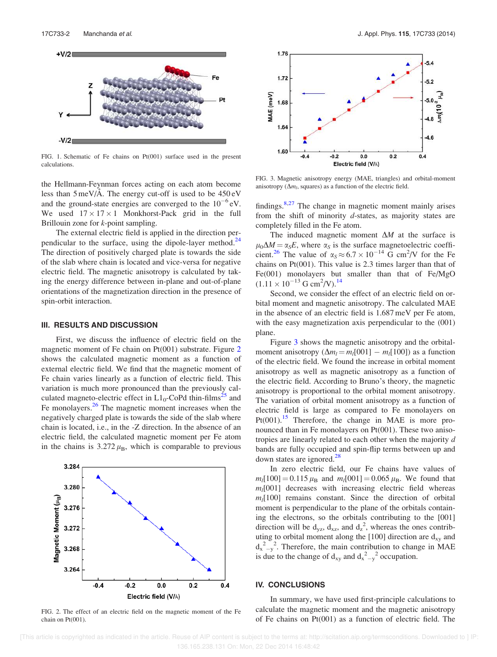

FIG. 1. Schematic of Fe chains on Pt(001) surface used in the present calculations.

the Hellmann-Feynman forces acting on each atom become less than  $5 \text{ meV/A}$ . The energy cut-off is used to be  $450 \text{ eV}$ and the ground-state energies are converged to the  $10^{-6}$  eV. We used  $17 \times 17 \times 1$  Monkhorst-Pack grid in the full Brillouin zone for *k*-point sampling.

The external electric field is applied in the direction perpendicular to the surface, using the dipole-layer method. $24$ The direction of positively charged plate is towards the side of the slab where chain is located and vice-versa for negative electric field. The magnetic anisotropy is calculated by taking the energy difference between in-plane and out-of-plane orientations of the magnetization direction in the presence of spin-orbit interaction.

#### III. RESULTS AND DISCUSSION

First, we discuss the influence of electric field on the magnetic moment of Fe chain on Pt(001) substrate. Figure 2 shows the calculated magnetic moment as a function of external electric field. We find that the magnetic moment of Fe chain varies linearly as a function of electric field. This variation is much more pronounced than the previously calculated magneto-electric effect in  $L1_0$ -CoPd thin-films<sup>25</sup> and Fe monolayers.<sup>26</sup> The magnetic moment increases when the negatively charged plate is towards the side of the slab where chain is located, i.e., in the -Z direction. In the absence of an electric field, the calculated magnetic moment per Fe atom in the chains is  $3.272 \mu_B$ , which is comparable to previous



FIG. 2. The effect of an electric field on the magnetic moment of the Fe chain on Pt(001).



FIG. 3. Magnetic anisotropy energy (MAE, triangles) and orbital-moment anisotropy  $(\Delta m_l,$  squares) as a function of the electric field.

findings. $8,27$  The change in magnetic moment mainly arises from the shift of minority d-states, as majority states are completely filled in the Fe atom.

The induced magnetic moment  $\Delta M$  at the surface is  $\mu_0 \Delta M = \alpha_S E$ , where  $\alpha_S$  is the surface magnetoelectric coefficient.<sup>26</sup> The value of  $\alpha_s \approx 6.7 \times 10^{-14}$  G cm<sup>2</sup>/V for the Fe chains on Pt(001). This value is 2.3 times larger than that of Fe(001) monolayers but smaller than that of Fe/MgO  $(1.11 \times 10^{-13} \text{ G cm}^2/\text{V})$ .<sup>14</sup>

Second, we consider the effect of an electric field on orbital moment and magnetic anisotropy. The calculated MAE in the absence of an electric field is 1.687 meV per Fe atom, with the easy magnetization axis perpendicular to the (001) plane.

Figure 3 shows the magnetic anisotropy and the orbitalmoment anisotropy  $(\Delta m_l = m_l[001] - m_l[100])$  as a function of the electric field. We found the increase in orbital moment anisotropy as well as magnetic anisotropy as a function of the electric field. According to Bruno's theory, the magnetic anisotropy is proportional to the orbital moment anisotropy. The variation of orbital moment anisotropy as a function of electric field is large as compared to Fe monolayers on  $Pt(001)$ .<sup>15</sup> Therefore, the change in MAE is more pronounced than in Fe monolayers on Pt(001). These two anisotropies are linearly related to each other when the majority d bands are fully occupied and spin-flip terms between up and down states are ignored.<sup>28</sup>

In zero electric field, our Fe chains have values of  $m_l[100] = 0.115 \mu_B$  and  $m_l[001] = 0.065 \mu_B$ . We found that  $m_l$ [001] decreases with increasing electric field whereas  $m_l[100]$  remains constant. Since the direction of orbital moment is perpendicular to the plane of the orbitals containing the electrons, so the orbitals contributing to the [001] direction will be  $d_{yz}$ ,  $d_{xz}$ , and  $d_z^2$ , whereas the ones contributing to orbital moment along the [100] direction are  $d_{xy}$  and  $d_{x-y}^2$ . Therefore, the main contribution to change in MAE is due to the change of  $d_{xy}$  and  $d_{x}^{2}-y^{2}$  occupation.

#### IV. CONCLUSIONS

In summary, we have used first-principle calculations to calculate the magnetic moment and the magnetic anisotropy of Fe chains on Pt(001) as a function of electric field. The

 [This article is copyrighted as indicated in the article. Reuse of AIP content is subject to the terms at: http://scitation.aip.org/termsconditions. Downloaded to ] IP: 136.165.238.131 On: Mon, 22 Dec 2014 16:48:42